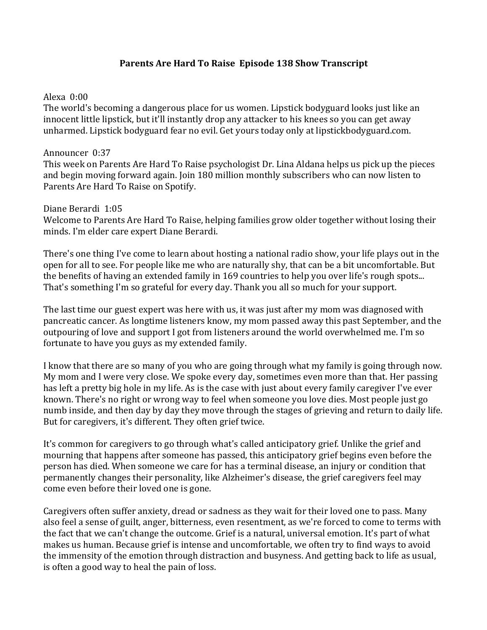# Parents Are Hard To Raise Episode 138 Show Transcript

### Alexa  $0:00$

The world's becoming a dangerous place for us women. Lipstick bodyguard looks just like an innocent little lipstick, but it'll instantly drop any attacker to his knees so you can get away unharmed. Lipstick bodyguard fear no evil. Get yours today only at lipstickbodyguard.com.

### Announcer 0:37

This week on Parents Are Hard To Raise psychologist Dr. Lina Aldana helps us pick up the pieces and begin moving forward again. Join 180 million monthly subscribers who can now listen to Parents Are Hard To Raise on Spotify.

#### Diane Berardi 1:05

Welcome to Parents Are Hard To Raise, helping families grow older together without losing their minds. I'm elder care expert Diane Berardi.

There's one thing I've come to learn about hosting a national radio show, your life plays out in the open for all to see. For people like me who are naturally shy, that can be a bit uncomfortable. But the benefits of having an extended family in 169 countries to help you over life's rough spots... That's something I'm so grateful for every day. Thank you all so much for your support.

The last time our guest expert was here with us, it was just after my mom was diagnosed with pancreatic cancer. As longtime listeners know, my mom passed away this past September, and the outpouring of love and support I got from listeners around the world overwhelmed me. I'm so fortunate to have you guys as my extended family.

I know that there are so many of you who are going through what my family is going through now. My mom and I were very close. We spoke every day, sometimes even more than that. Her passing has left a pretty big hole in my life. As is the case with just about every family caregiver I've ever known. There's no right or wrong way to feel when someone you love dies. Most people just go numb inside, and then day by day they move through the stages of grieving and return to daily life. But for caregivers, it's different. They often grief twice.

It's common for caregivers to go through what's called anticipatory grief. Unlike the grief and mourning that happens after someone has passed, this anticipatory grief begins even before the person has died. When someone we care for has a terminal disease, an injury or condition that permanently changes their personality, like Alzheimer's disease, the grief caregivers feel may come even before their loved one is gone.

Caregivers often suffer anxiety, dread or sadness as they wait for their loved one to pass. Many also feel a sense of guilt, anger, bitterness, even resentment, as we're forced to come to terms with the fact that we can't change the outcome. Grief is a natural, universal emotion. It's part of what makes us human. Because grief is intense and uncomfortable, we often try to find ways to avoid the immensity of the emotion through distraction and busyness. And getting back to life as usual, is often a good way to heal the pain of loss.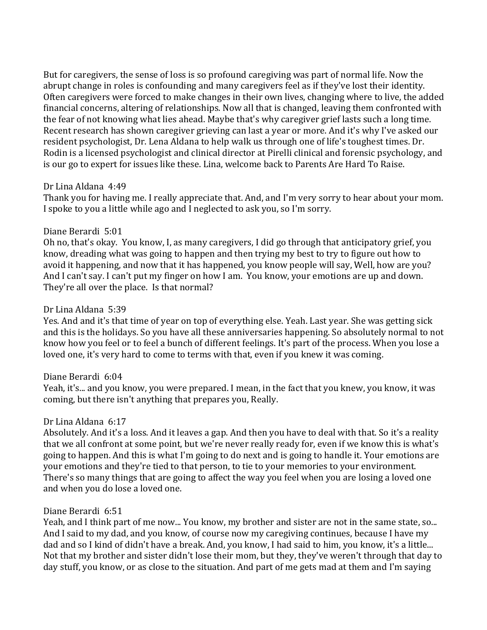But for caregivers, the sense of loss is so profound caregiving was part of normal life. Now the abrupt change in roles is confounding and many caregivers feel as if they've lost their identity. Often caregivers were forced to make changes in their own lives, changing where to live, the added financial concerns, altering of relationships. Now all that is changed, leaving them confronted with the fear of not knowing what lies ahead. Maybe that's why caregiver grief lasts such a long time. Recent research has shown caregiver grieving can last a year or more. And it's why I've asked our resident psychologist, Dr. Lena Aldana to help walk us through one of life's toughest times. Dr. Rodin is a licensed psychologist and clinical director at Pirelli clinical and forensic psychology, and is our go to expert for issues like these. Lina, welcome back to Parents Are Hard To Raise.

### Dr Lina Aldana 4:49

Thank you for having me. I really appreciate that. And, and I'm very sorry to hear about your mom. I spoke to you a little while ago and I neglected to ask you, so I'm sorry.

## Diane Berardi 5:01

Oh no, that's okay. You know, I, as many caregivers, I did go through that anticipatory grief, you know, dreading what was going to happen and then trying my best to try to figure out how to avoid it happening, and now that it has happened, you know people will say, Well, how are you? And I can't say. I can't put my finger on how I am. You know, your emotions are up and down. They're all over the place. Is that normal?

### Dr Lina Aldana 5:39

Yes. And and it's that time of year on top of everything else. Yeah. Last year. She was getting sick and this is the holidays. So you have all these anniversaries happening. So absolutely normal to not know how you feel or to feel a bunch of different feelings. It's part of the process. When you lose a loved one, it's very hard to come to terms with that, even if you knew it was coming.

#### Diane Berardi 6:04

Yeah, it's... and you know, you were prepared. I mean, in the fact that you knew, you know, it was coming, but there isn't anything that prepares you, Really.

## Dr Lina Aldana 6:17

Absolutely. And it's a loss. And it leaves a gap. And then you have to deal with that. So it's a reality that we all confront at some point, but we're never really ready for, even if we know this is what's going to happen. And this is what I'm going to do next and is going to handle it. Your emotions are your emotions and they're tied to that person, to tie to your memories to your environment. There's so many things that are going to affect the way you feel when you are losing a loved one and when you do lose a loved one.

## Diane Berardi 6:51

Yeah, and I think part of me now... You know, my brother and sister are not in the same state, so... And I said to my dad, and you know, of course now my caregiving continues, because I have my dad and so I kind of didn't have a break. And, you know, I had said to him, you know, it's a little... Not that my brother and sister didn't lose their mom, but they, they've weren't through that day to day stuff, you know, or as close to the situation. And part of me gets mad at them and I'm saying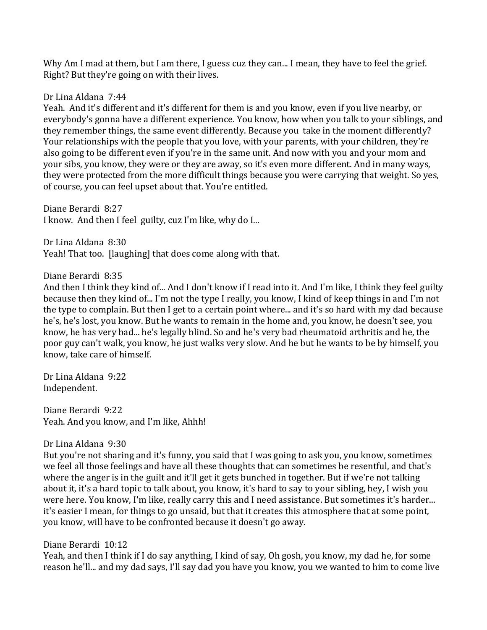Why Am I mad at them, but I am there, I guess cuz they can... I mean, they have to feel the grief. Right? But they're going on with their lives.

### Dr Lina Aldana 7:44

Yeah. And it's different and it's different for them is and you know, even if you live nearby, or everybody's gonna have a different experience. You know, how when you talk to your siblings, and they remember things, the same event differently. Because you take in the moment differently? Your relationships with the people that you love, with your parents, with your children, they're also going to be different even if you're in the same unit. And now with you and your mom and your sibs, you know, they were or they are away, so it's even more different. And in many ways, they were protected from the more difficult things because you were carrying that weight. So yes, of course, you can feel upset about that. You're entitled.

Diane Berardi 8:27 I know. And then I feel guilty, cuz I'm like, why do I...

Dr Lina Aldana 8:30 Yeah! That too. [laughing] that does come along with that.

### Diane Berardi 8:35

And then I think they kind of... And I don't know if I read into it. And I'm like, I think they feel guilty because then they kind of... I'm not the type I really, you know, I kind of keep things in and I'm not the type to complain. But then I get to a certain point where... and it's so hard with my dad because he's, he's lost, you know. But he wants to remain in the home and, you know, he doesn't see, you know, he has very bad... he's legally blind. So and he's very bad rheumatoid arthritis and he, the poor guy can't walk, you know, he just walks very slow. And he but he wants to be by himself, you know, take care of himself.

Dr Lina Aldana 9:22 Independent. 

Diane Berardi 9:22 Yeah. And you know, and I'm like, Ahhh!

#### Dr Lina Aldana 9:30

But you're not sharing and it's funny, you said that I was going to ask you, you know, sometimes we feel all those feelings and have all these thoughts that can sometimes be resentful, and that's where the anger is in the guilt and it'll get it gets bunched in together. But if we're not talking about it, it's a hard topic to talk about, you know, it's hard to say to your sibling, hey, I wish you were here. You know, I'm like, really carry this and I need assistance. But sometimes it's harder... it's easier I mean, for things to go unsaid, but that it creates this atmosphere that at some point, you know, will have to be confronted because it doesn't go away.

## Diane Berardi 10:12

Yeah, and then I think if I do say anything, I kind of say, Oh gosh, you know, my dad he, for some reason he'll... and my dad says, I'll say dad you have you know, you we wanted to him to come live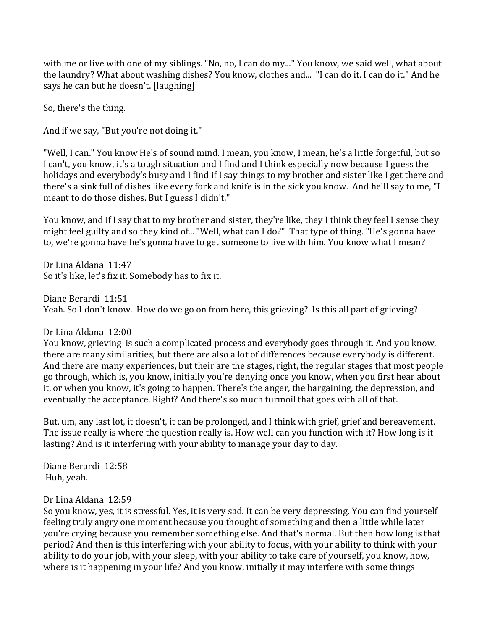with me or live with one of my siblings. "No, no, I can do my..." You know, we said well, what about the laundry? What about washing dishes? You know, clothes and... "I can do it. I can do it." And he says he can but he doesn't. [laughing]

So, there's the thing.

And if we say, "But you're not doing it."

"Well, I can." You know He's of sound mind. I mean, you know, I mean, he's a little forgetful, but so I can't, you know, it's a tough situation and I find and I think especially now because I guess the holidays and everybody's busy and I find if I say things to my brother and sister like I get there and there's a sink full of dishes like every fork and knife is in the sick you know. And he'll say to me, "I meant to do those dishes. But I guess I didn't."

You know, and if I say that to my brother and sister, they're like, they I think they feel I sense they might feel guilty and so they kind of... "Well, what can I do?" That type of thing. "He's gonna have to, we're gonna have he's gonna have to get someone to live with him. You know what I mean?

Dr Lina Aldana 11:47 So it's like, let's fix it. Somebody has to fix it.

Diane Berardi 11:51 Yeah. So I don't know. How do we go on from here, this grieving? Is this all part of grieving?

Dr Lina Aldana 12:00

You know, grieving is such a complicated process and everybody goes through it. And you know, there are many similarities, but there are also a lot of differences because everybody is different. And there are many experiences, but their are the stages, right, the regular stages that most people go through, which is, you know, initially you're denying once you know, when you first hear about it, or when you know, it's going to happen. There's the anger, the bargaining, the depression, and eventually the acceptance. Right? And there's so much turmoil that goes with all of that.

But, um, any last lot, it doesn't, it can be prolonged, and I think with grief, grief and bereavement. The issue really is where the question really is. How well can you function with it? How long is it lasting? And is it interfering with your ability to manage your day to day.

Diane Berardi 12:58 Huh, yeah.

#### Dr Lina Aldana 12:59

So you know, yes, it is stressful. Yes, it is very sad. It can be very depressing. You can find yourself feeling truly angry one moment because you thought of something and then a little while later you're crying because you remember something else. And that's normal. But then how long is that period? And then is this interfering with your ability to focus, with your ability to think with your ability to do your job, with your sleep, with your ability to take care of yourself, you know, how, where is it happening in your life? And you know, initially it may interfere with some things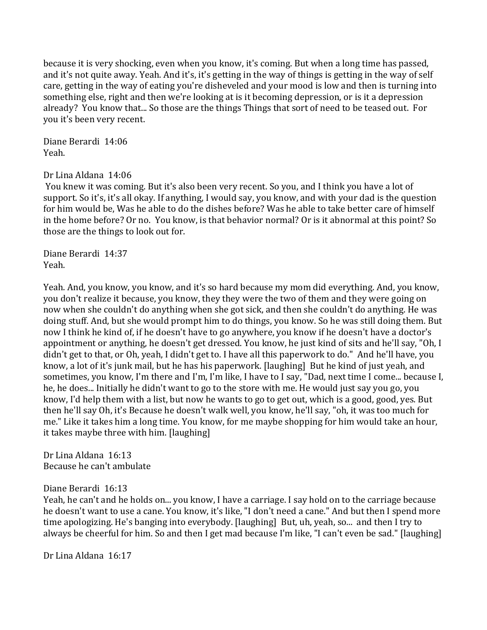because it is very shocking, even when you know, it's coming. But when a long time has passed, and it's not quite away. Yeah. And it's, it's getting in the way of things is getting in the way of self care, getting in the way of eating you're disheveled and your mood is low and then is turning into something else, right and then we're looking at is it becoming depression, or is it a depression already? You know that... So those are the things Things that sort of need to be teased out. For you it's been very recent.

Diane Berardi 14:06 Yeah.

Dr Lina Aldana 14:06

You knew it was coming. But it's also been very recent. So you, and I think you have a lot of support. So it's, it's all okay. If anything, I would say, you know, and with your dad is the question for him would be, Was he able to do the dishes before? Was he able to take better care of himself in the home before? Or no. You know, is that behavior normal? Or is it abnormal at this point? So those are the things to look out for.

Diane Berardi 14:37 Yeah.

Yeah. And, you know, you know, and it's so hard because my mom did everything. And, you know, you don't realize it because, you know, they they were the two of them and they were going on now when she couldn't do anything when she got sick, and then she couldn't do anything. He was doing stuff. And, but she would prompt him to do things, you know. So he was still doing them. But now I think he kind of, if he doesn't have to go anywhere, you know if he doesn't have a doctor's appointment or anything, he doesn't get dressed. You know, he just kind of sits and he'll say, "Oh, I didn't get to that, or Oh, yeah, I didn't get to. I have all this paperwork to do." And he'll have, you know, a lot of it's junk mail, but he has his paperwork. [laughing] But he kind of just yeah, and sometimes, you know, I'm there and I'm, I'm like, I have to I say, "Dad, next time I come... because I, he, he does... Initially he didn't want to go to the store with me. He would just say you go, you know, I'd help them with a list, but now he wants to go to get out, which is a good, good, yes. But then he'll say Oh, it's Because he doesn't walk well, you know, he'll say, "oh, it was too much for me." Like it takes him a long time. You know, for me maybe shopping for him would take an hour, it takes maybe three with him. [laughing]

Dr Lina Aldana 16:13 Because he can't ambulate

#### Diane Berardi 16:13

Yeah, he can't and he holds on... you know, I have a carriage. I say hold on to the carriage because he doesn't want to use a cane. You know, it's like, "I don't need a cane." And but then I spend more time apologizing. He's banging into everybody. [laughing] But, uh, yeah, so... and then I try to always be cheerful for him. So and then I get mad because I'm like, "I can't even be sad." [laughing]

Dr Lina Aldana 16:17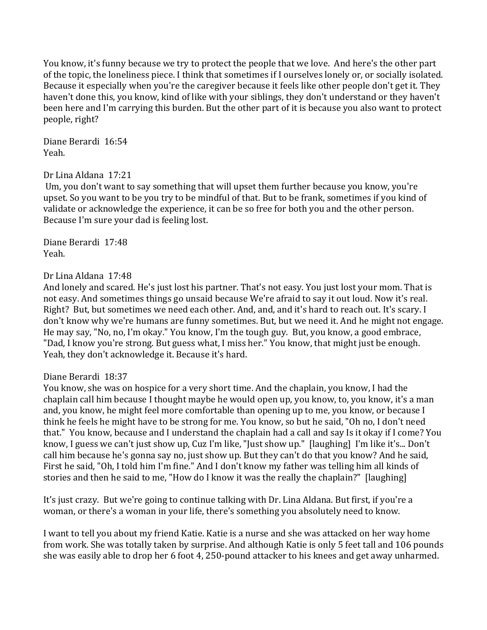You know, it's funny because we try to protect the people that we love. And here's the other part of the topic, the loneliness piece. I think that sometimes if I ourselves lonely or, or socially isolated. Because it especially when you're the caregiver because it feels like other people don't get it. They haven't done this, you know, kind of like with your siblings, they don't understand or they haven't been here and I'm carrying this burden. But the other part of it is because you also want to protect people, right?

Diane Berardi 16:54 Yeah.

### Dr Lina Aldana 17:21

Um, you don't want to say something that will upset them further because you know, you're upset. So you want to be you try to be mindful of that. But to be frank, sometimes if you kind of validate or acknowledge the experience, it can be so free for both you and the other person. Because I'm sure your dad is feeling lost.

Diane Berardi 17:48 Yeah. 

### Dr Lina Aldana 17:48

And lonely and scared. He's just lost his partner. That's not easy. You just lost your mom. That is not easy. And sometimes things go unsaid because We're afraid to say it out loud. Now it's real. Right? But, but sometimes we need each other. And, and, and it's hard to reach out. It's scary. I don't know why we're humans are funny sometimes. But, but we need it. And he might not engage. He may say, "No, no, I'm okay." You know, I'm the tough guy. But, you know, a good embrace. "Dad, I know you're strong. But guess what, I miss her." You know, that might just be enough. Yeah, they don't acknowledge it. Because it's hard.

#### Diane Berardi 18:37

You know, she was on hospice for a very short time. And the chaplain, you know, I had the chaplain call him because I thought maybe he would open up, you know, to, you know, it's a man and, you know, he might feel more comfortable than opening up to me, you know, or because I think he feels he might have to be strong for me. You know, so but he said, "Oh no, I don't need that." You know, because and I understand the chaplain had a call and say Is it okay if I come? You know, I guess we can't just show up, Cuz I'm like, "Just show up." [laughing] I'm like it's... Don't call him because he's gonna say no, just show up. But they can't do that you know? And he said, First he said, "Oh, I told him I'm fine." And I don't know my father was telling him all kinds of stories and then he said to me, "How do I know it was the really the chaplain?" [laughing]

It's just crazy. But we're going to continue talking with Dr. Lina Aldana. But first, if you're a woman, or there's a woman in your life, there's something you absolutely need to know.

I want to tell you about my friend Katie. Katie is a nurse and she was attacked on her way home from work. She was totally taken by surprise. And although Katie is only 5 feet tall and 106 pounds she was easily able to drop her 6 foot 4, 250-pound attacker to his knees and get away unharmed.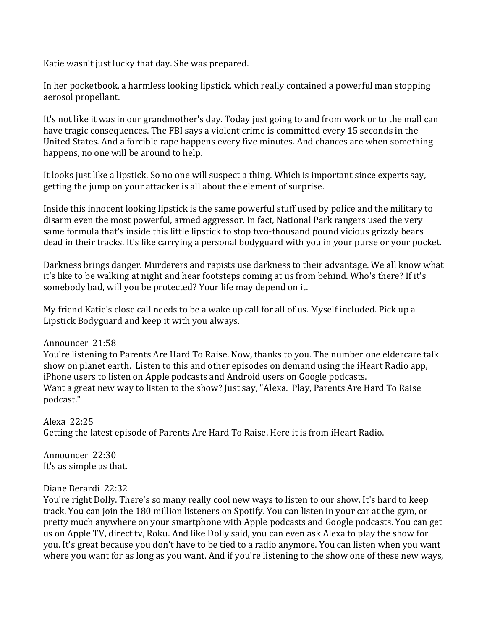Katie wasn't just lucky that day. She was prepared.

In her pocketbook, a harmless looking lipstick, which really contained a powerful man stopping aerosol propellant.

It's not like it was in our grandmother's day. Today just going to and from work or to the mall can have tragic consequences. The FBI says a violent crime is committed every 15 seconds in the United States. And a forcible rape happens every five minutes. And chances are when something happens, no one will be around to help.

It looks just like a lipstick. So no one will suspect a thing. Which is important since experts say, getting the jump on your attacker is all about the element of surprise.

Inside this innocent looking lipstick is the same powerful stuff used by police and the military to disarm even the most powerful, armed aggressor. In fact, National Park rangers used the very same formula that's inside this little lipstick to stop two-thousand pound vicious grizzly bears dead in their tracks. It's like carrying a personal bodyguard with you in your purse or your pocket.

Darkness brings danger. Murderers and rapists use darkness to their advantage. We all know what it's like to be walking at night and hear footsteps coming at us from behind. Who's there? If it's somebody bad, will you be protected? Your life may depend on it.

My friend Katie's close call needs to be a wake up call for all of us. Myself included. Pick up a Lipstick Bodyguard and keep it with you always.

## Announcer 21:58

You're listening to Parents Are Hard To Raise. Now, thanks to you. The number one eldercare talk show on planet earth. Listen to this and other episodes on demand using the iHeart Radio app, iPhone users to listen on Apple podcasts and Android users on Google podcasts. Want a great new way to listen to the show? Just say, "Alexa. Play, Parents Are Hard To Raise podcast." 

Alexa 22:25 Getting the latest episode of Parents Are Hard To Raise. Here it is from iHeart Radio.

Announcer 22:30 It's as simple as that.

## Diane Berardi 22:32

You're right Dolly. There's so many really cool new ways to listen to our show. It's hard to keep track. You can join the 180 million listeners on Spotify. You can listen in your car at the gym, or pretty much anywhere on your smartphone with Apple podcasts and Google podcasts. You can get us on Apple TV, direct tv, Roku. And like Dolly said, you can even ask Alexa to play the show for you. It's great because you don't have to be tied to a radio anymore. You can listen when you want where you want for as long as you want. And if you're listening to the show one of these new ways,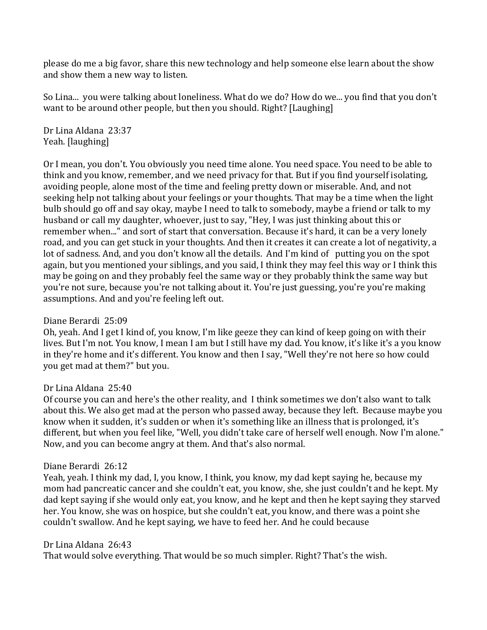please do me a big favor, share this new technology and help someone else learn about the show and show them a new way to listen.

So Lina... you were talking about loneliness. What do we do? How do we... you find that you don't want to be around other people, but then you should. Right? [Laughing]

Dr Lina Aldana 23:37 Yeah. [laughing]

Or I mean, you don't. You obviously you need time alone. You need space. You need to be able to think and you know, remember, and we need privacy for that. But if you find yourself isolating, avoiding people, alone most of the time and feeling pretty down or miserable. And, and not seeking help not talking about your feelings or your thoughts. That may be a time when the light bulb should go off and say okay, maybe I need to talk to somebody, maybe a friend or talk to my husband or call my daughter, whoever, just to say, "Hey, I was just thinking about this or remember when..." and sort of start that conversation. Because it's hard, it can be a very lonely road, and you can get stuck in your thoughts. And then it creates it can create a lot of negativity, a lot of sadness. And, and you don't know all the details. And I'm kind of putting you on the spot again, but you mentioned your siblings, and you said, I think they may feel this way or I think this may be going on and they probably feel the same way or they probably think the same way but you're not sure, because you're not talking about it. You're just guessing, you're you're making assumptions. And and you're feeling left out.

## Diane Berardi 25:09

Oh, yeah. And I get I kind of, you know, I'm like geeze they can kind of keep going on with their lives. But I'm not. You know, I mean I am but I still have my dad. You know, it's like it's a you know in they're home and it's different. You know and then I say, "Well they're not here so how could vou get mad at them?" but you.

## Dr Lina Aldana 25:40

Of course you can and here's the other reality, and I think sometimes we don't also want to talk about this. We also get mad at the person who passed away, because they left. Because maybe you know when it sudden, it's sudden or when it's something like an illness that is prolonged, it's different, but when you feel like, "Well, you didn't take care of herself well enough. Now I'm alone." Now, and you can become angry at them. And that's also normal.

## Diane Berardi 26:12

Yeah, yeah. I think my dad, I, you know, I think, you know, my dad kept saying he, because my mom had pancreatic cancer and she couldn't eat, you know, she, she just couldn't and he kept. My dad kept saying if she would only eat, you know, and he kept and then he kept saying they starved her. You know, she was on hospice, but she couldn't eat, you know, and there was a point she couldn't swallow. And he kept saying, we have to feed her. And he could because

#### Dr Lina Aldana 26:43

That would solve everything. That would be so much simpler. Right? That's the wish.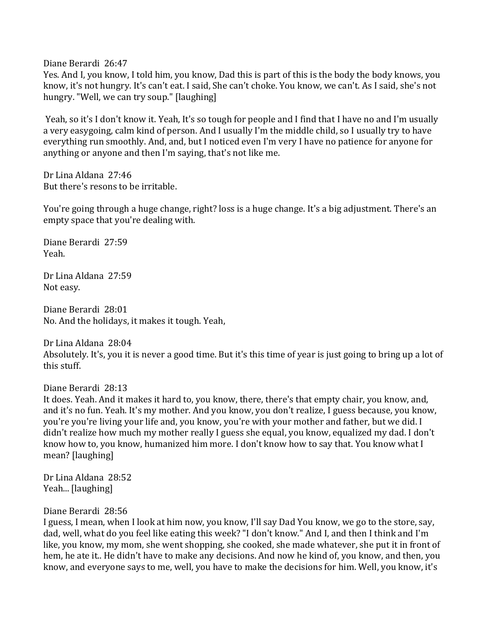Diane Berardi 26:47

Yes. And I, you know, I told him, you know, Dad this is part of this is the body the body knows, you know, it's not hungry. It's can't eat. I said, She can't choke. You know, we can't. As I said, she's not hungry. "Well, we can try soup." [laughing]

Yeah, so it's I don't know it. Yeah, It's so tough for people and I find that I have no and I'm usually a very easygoing, calm kind of person. And I usually I'm the middle child, so I usually try to have everything run smoothly. And, and, but I noticed even I'm very I have no patience for anyone for anything or anyone and then I'm saying, that's not like me.

Dr Lina Aldana 27:46 But there's resons to be irritable.

You're going through a huge change, right? loss is a huge change. It's a big adjustment. There's an empty space that you're dealing with.

Diane Berardi 27:59 Yeah. 

Dr Lina Aldana 27:59 Not easy.

Diane Berardi 28:01 No. And the holidays, it makes it tough. Yeah,

Dr Lina Aldana 28:04 Absolutely. It's, you it is never a good time. But it's this time of year is just going to bring up a lot of this stuff.

Diane Berardi 28:13

It does. Yeah. And it makes it hard to, you know, there, there's that empty chair, you know, and, and it's no fun. Yeah. It's my mother. And you know, you don't realize, I guess because, you know, you're you're living your life and, you know, you're with your mother and father, but we did. I didn't realize how much my mother really I guess she equal, you know, equalized my dad. I don't know how to, you know, humanized him more. I don't know how to say that. You know what I mean? [laughing]

Dr Lina Aldana 28:52 Yeah... [laughing]

#### Diane Berardi 28:56

I guess, I mean, when I look at him now, you know, I'll say Dad You know, we go to the store, say, dad, well, what do you feel like eating this week? "I don't know." And I, and then I think and I'm like, you know, my mom, she went shopping, she cooked, she made whatever, she put it in front of hem, he ate it.. He didn't have to make any decisions. And now he kind of, you know, and then, you know, and everyone says to me, well, you have to make the decisions for him. Well, you know, it's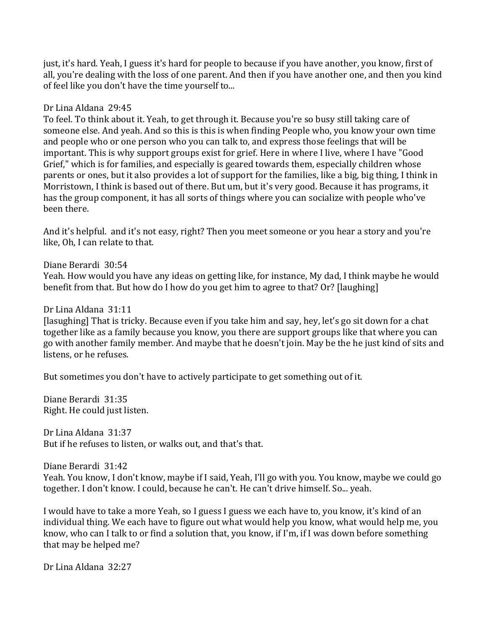just, it's hard. Yeah, I guess it's hard for people to because if you have another, you know, first of all, you're dealing with the loss of one parent. And then if you have another one, and then you kind of feel like you don't have the time yourself to...

#### Dr Lina Aldana 29:45

To feel. To think about it. Yeah, to get through it. Because you're so busy still taking care of someone else. And yeah. And so this is this is when finding People who, you know your own time and people who or one person who you can talk to, and express those feelings that will be important. This is why support groups exist for grief. Here in where I live, where I have "Good Grief," which is for families, and especially is geared towards them, especially children whose parents or ones, but it also provides a lot of support for the families, like a big, big thing, I think in Morristown, I think is based out of there. But um, but it's very good. Because it has programs, it has the group component, it has all sorts of things where you can socialize with people who've been there.

And it's helpful. and it's not easy, right? Then you meet someone or you hear a story and you're like, Oh, I can relate to that.

Diane Berardi 30:54 

Yeah. How would you have any ideas on getting like, for instance, My dad, I think maybe he would benefit from that. But how do I how do you get him to agree to that? Or? [laughing]

Dr Lina Aldana 31:11

[lasughing] That is tricky. Because even if you take him and say, hey, let's go sit down for a chat together like as a family because you know, you there are support groups like that where you can go with another family member. And maybe that he doesn't join. May be the he just kind of sits and listens, or he refuses.

But sometimes you don't have to actively participate to get something out of it.

Diane Berardi 31:35 Right. He could just listen.

Dr Lina Aldana 31:37 But if he refuses to listen, or walks out, and that's that.

Diane Berardi 31:42

Yeah. You know, I don't know, maybe if I said, Yeah, I'll go with you. You know, maybe we could go together. I don't know. I could, because he can't. He can't drive himself. So... yeah.

I would have to take a more Yeah, so I guess I guess we each have to, you know, it's kind of an individual thing. We each have to figure out what would help you know, what would help me, you know, who can I talk to or find a solution that, you know, if I'm, if I was down before something that may be helped me?

Dr Lina Aldana 32:27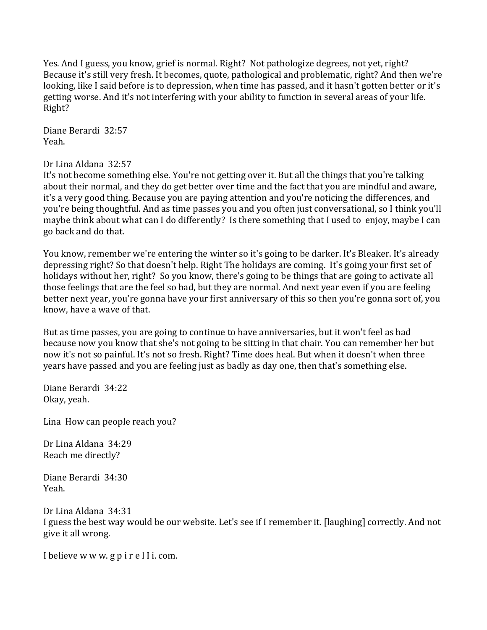Yes. And I guess, you know, grief is normal. Right? Not pathologize degrees, not yet, right? Because it's still very fresh. It becomes, quote, pathological and problematic, right? And then we're looking, like I said before is to depression, when time has passed, and it hasn't gotten better or it's getting worse. And it's not interfering with your ability to function in several areas of your life. Right? 

Diane Berardi 32:57 Yeah. 

### Dr Lina Aldana 32:57

It's not become something else. You're not getting over it. But all the things that you're talking about their normal, and they do get better over time and the fact that you are mindful and aware, it's a very good thing. Because you are paying attention and you're noticing the differences, and you're being thoughtful. And as time passes you and you often just conversational, so I think you'll maybe think about what can I do differently? Is there something that I used to enjoy, maybe I can go back and do that. 

You know, remember we're entering the winter so it's going to be darker. It's Bleaker. It's already depressing right? So that doesn't help. Right The holidays are coming. It's going your first set of holidays without her, right? So you know, there's going to be things that are going to activate all those feelings that are the feel so bad, but they are normal. And next year even if you are feeling better next year, you're gonna have your first anniversary of this so then you're gonna sort of, you know, have a wave of that.

But as time passes, you are going to continue to have anniversaries, but it won't feel as bad because now you know that she's not going to be sitting in that chair. You can remember her but now it's not so painful. It's not so fresh. Right? Time does heal. But when it doesn't when three years have passed and you are feeling just as badly as day one, then that's something else.

Diane Berardi 34:22 Okay, yeah.

Lina How can people reach you?

Dr Lina Aldana 34:29 Reach me directly?

Diane Berardi 34:30 Yeah. 

Dr Lina Aldana 34:31 I guess the best way would be our website. Let's see if I remember it. [laughing] correctly. And not give it all wrong.

I believe w w w. g p i r e l I i. com.